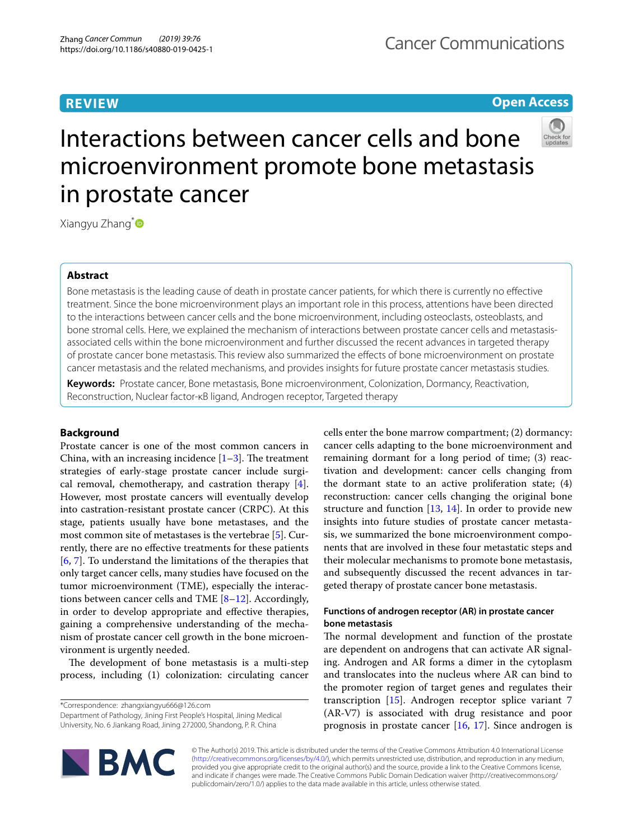# **REVIEW**

## **Open Access**



# Interactions between cancer cells and bone microenvironment promote bone metastasis in prostate cancer

Xiangyu Zhang<sup>[\\*](http://orcid.org/0000-0003-0170-0837)</sup>

## **Abstract**

Bone metastasis is the leading cause of death in prostate cancer patients, for which there is currently no efective treatment. Since the bone microenvironment plays an important role in this process, attentions have been directed to the interactions between cancer cells and the bone microenvironment, including osteoclasts, osteoblasts, and bone stromal cells. Here, we explained the mechanism of interactions between prostate cancer cells and metastasisassociated cells within the bone microenvironment and further discussed the recent advances in targeted therapy of prostate cancer bone metastasis. This review also summarized the efects of bone microenvironment on prostate cancer metastasis and the related mechanisms, and provides insights for future prostate cancer metastasis studies.

**Keywords:** Prostate cancer, Bone metastasis, Bone microenvironment, Colonization, Dormancy, Reactivation, Reconstruction, Nuclear factor-κB ligand, Androgen receptor, Targeted therapy

## **Background**

Prostate cancer is one of the most common cancers in China, with an increasing incidence  $[1-3]$  $[1-3]$  $[1-3]$ . The treatment strategies of early-stage prostate cancer include surgical removal, chemotherapy, and castration therapy [\[4](#page-7-2)]. However, most prostate cancers will eventually develop into castration-resistant prostate cancer (CRPC). At this stage, patients usually have bone metastases, and the most common site of metastases is the vertebrae [\[5\]](#page-7-3). Currently, there are no efective treatments for these patients [[6,](#page-7-4) [7\]](#page-7-5). To understand the limitations of the therapies that only target cancer cells, many studies have focused on the tumor microenvironment (TME), especially the interactions between cancer cells and TME  $[8-12]$  $[8-12]$  $[8-12]$ . Accordingly, in order to develop appropriate and efective therapies, gaining a comprehensive understanding of the mechanism of prostate cancer cell growth in the bone microenvironment is urgently needed.

The development of bone metastasis is a multi-step process, including (1) colonization: circulating cancer

\*Correspondence: zhangxiangyu666@126.com

Department of Pathology, Jining First People's Hospital, Jining Medical University, No. 6 Jiankang Road, Jining 272000, Shandong, P. R. China

cells enter the bone marrow compartment; (2) dormancy: cancer cells adapting to the bone microenvironment and remaining dormant for a long period of time; (3) reactivation and development: cancer cells changing from the dormant state to an active proliferation state; (4) reconstruction: cancer cells changing the original bone structure and function [[13,](#page-7-8) [14\]](#page-7-9). In order to provide new insights into future studies of prostate cancer metastasis, we summarized the bone microenvironment components that are involved in these four metastatic steps and their molecular mechanisms to promote bone metastasis, and subsequently discussed the recent advances in targeted therapy of prostate cancer bone metastasis.

## **Functions of androgen receptor (AR) in prostate cancer bone metastasis**

The normal development and function of the prostate are dependent on androgens that can activate AR signaling. Androgen and AR forms a dimer in the cytoplasm and translocates into the nucleus where AR can bind to the promoter region of target genes and regulates their transcription [\[15](#page-7-10)]. Androgen receptor splice variant 7 (AR-V7) is associated with drug resistance and poor prognosis in prostate cancer [\[16](#page-7-11), [17\]](#page-7-12). Since androgen is



© The Author(s) 2019. This article is distributed under the terms of the Creative Commons Attribution 4.0 International License [\(http://creativecommons.org/licenses/by/4.0/\)](http://creativecommons.org/licenses/by/4.0/), which permits unrestricted use, distribution, and reproduction in any medium, provided you give appropriate credit to the original author(s) and the source, provide a link to the Creative Commons license, and indicate if changes were made. The Creative Commons Public Domain Dedication waiver (http://creativecommons.org/ publicdomain/zero/1.0/) applies to the data made available in this article, unless otherwise stated.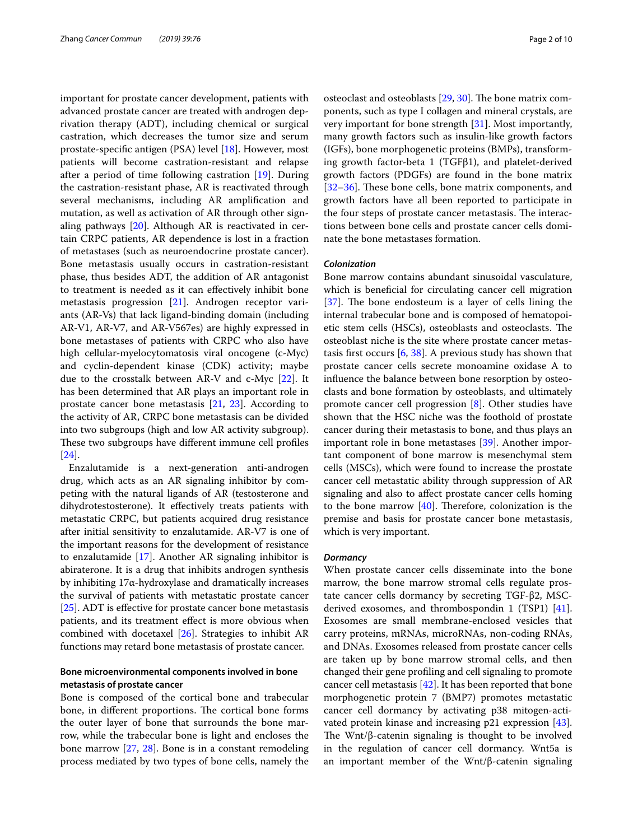important for prostate cancer development, patients with advanced prostate cancer are treated with androgen deprivation therapy (ADT), including chemical or surgical castration, which decreases the tumor size and serum prostate-specifc antigen (PSA) level [\[18\]](#page-7-13). However, most patients will become castration-resistant and relapse after a period of time following castration [\[19](#page-7-14)]. During the castration-resistant phase, AR is reactivated through several mechanisms, including AR amplifcation and mutation, as well as activation of AR through other signaling pathways [\[20\]](#page-7-15). Although AR is reactivated in certain CRPC patients, AR dependence is lost in a fraction of metastases (such as neuroendocrine prostate cancer). Bone metastasis usually occurs in castration-resistant phase, thus besides ADT, the addition of AR antagonist to treatment is needed as it can efectively inhibit bone metastasis progression [\[21](#page-7-16)]. Androgen receptor variants (AR-Vs) that lack ligand-binding domain (including AR-V1, AR-V7, and AR-V567es) are highly expressed in bone metastases of patients with CRPC who also have high cellular-myelocytomatosis viral oncogene (c-Myc) and cyclin-dependent kinase (CDK) activity; maybe due to the crosstalk between AR-V and c-Myc [[22\]](#page-7-17). It has been determined that AR plays an important role in prostate cancer bone metastasis [[21,](#page-7-16) [23\]](#page-7-18). According to the activity of AR, CRPC bone metastasis can be divided into two subgroups (high and low AR activity subgroup). These two subgroups have different immune cell profiles [[24\]](#page-7-19).

Enzalutamide is a next-generation anti-androgen drug, which acts as an AR signaling inhibitor by competing with the natural ligands of AR (testosterone and dihydrotestosterone). It efectively treats patients with metastatic CRPC, but patients acquired drug resistance after initial sensitivity to enzalutamide. AR-V7 is one of the important reasons for the development of resistance to enzalutamide [[17](#page-7-12)]. Another AR signaling inhibitor is abiraterone. It is a drug that inhibits androgen synthesis by inhibiting 17α-hydroxylase and dramatically increases the survival of patients with metastatic prostate cancer [[25\]](#page-7-20). ADT is efective for prostate cancer bone metastasis patients, and its treatment efect is more obvious when combined with docetaxel [\[26](#page-7-21)]. Strategies to inhibit AR functions may retard bone metastasis of prostate cancer.

## **Bone microenvironmental components involved in bone metastasis of prostate cancer**

Bone is composed of the cortical bone and trabecular bone, in different proportions. The cortical bone forms the outer layer of bone that surrounds the bone marrow, while the trabecular bone is light and encloses the bone marrow [[27,](#page-7-22) [28](#page-7-23)]. Bone is in a constant remodeling process mediated by two types of bone cells, namely the osteoclast and osteoblasts  $[29, 30]$  $[29, 30]$  $[29, 30]$ . The bone matrix components, such as type I collagen and mineral crystals, are very important for bone strength **[**[31](#page-7-26)**]**. Most importantly, many growth factors such as insulin-like growth factors (IGFs), bone morphogenetic proteins (BMPs), transforming growth factor-beta 1 (TGFβ1), and platelet-derived growth factors (PDGFs) are found in the bone matrix [[32–](#page-7-27)[36\]](#page-7-28). These bone cells, bone matrix components, and growth factors have all been reported to participate in the four steps of prostate cancer metastasis. The interactions between bone cells and prostate cancer cells dominate the bone metastases formation.

## *Colonization*

Bone marrow contains abundant sinusoidal vasculature, which is benefcial for circulating cancer cell migration [[37\]](#page-7-29). The bone endosteum is a layer of cells lining the internal trabecular bone and is composed of hematopoietic stem cells (HSCs), osteoblasts and osteoclasts. The osteoblast niche is the site where prostate cancer metastasis frst occurs [\[6,](#page-7-4) [38\]](#page-7-30). A previous study has shown that prostate cancer cells secrete monoamine oxidase A to infuence the balance between bone resorption by osteoclasts and bone formation by osteoblasts, and ultimately promote cancer cell progression [[8\]](#page-7-6). Other studies have shown that the HSC niche was the foothold of prostate cancer during their metastasis to bone, and thus plays an important role in bone metastases [\[39](#page-7-31)]. Another important component of bone marrow is mesenchymal stem cells (MSCs), which were found to increase the prostate cancer cell metastatic ability through suppression of AR signaling and also to afect prostate cancer cells homing to the bone marrow  $[40]$  $[40]$  $[40]$ . Therefore, colonization is the premise and basis for prostate cancer bone metastasis, which is very important.

#### *Dormancy*

When prostate cancer cells disseminate into the bone marrow, the bone marrow stromal cells regulate prostate cancer cells dormancy by secreting TGF-β2, MSCderived exosomes, and thrombospondin 1 (TSP1) [\[41](#page-7-33)]. Exosomes are small membrane-enclosed vesicles that carry proteins, mRNAs, microRNAs, non-coding RNAs, and DNAs. Exosomes released from prostate cancer cells are taken up by bone marrow stromal cells, and then changed their gene profling and cell signaling to promote cancer cell metastasis [[42\]](#page-7-34). It has been reported that bone morphogenetic protein 7 (BMP7) promotes metastatic cancer cell dormancy by activating p38 mitogen-activated protein kinase and increasing p21 expression [\[43](#page-7-35)]. The Wnt/ $\beta$ -catenin signaling is thought to be involved in the regulation of cancer cell dormancy. Wnt5a is an important member of the Wnt/β-catenin signaling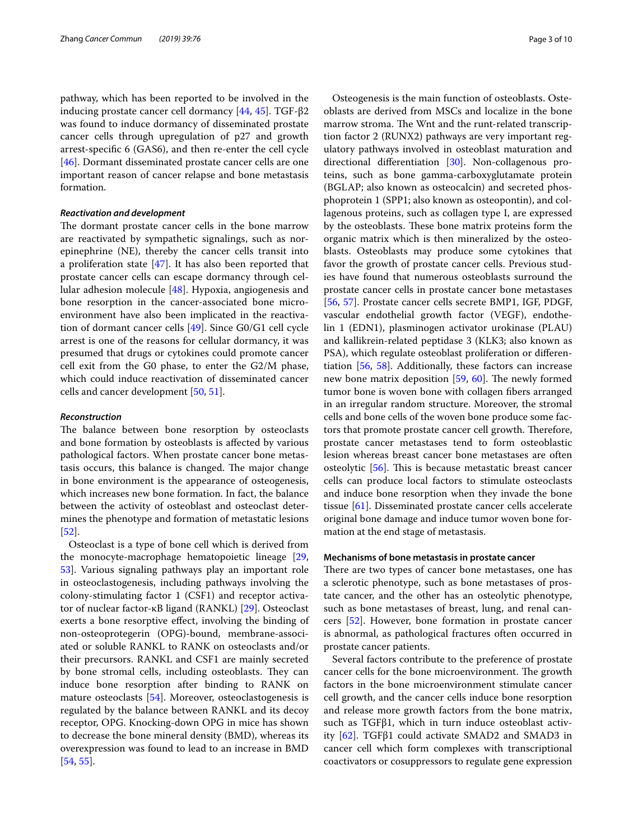pathway, which has been reported to be involved in the inducing prostate cancer cell dormancy [\[44](#page-7-36), [45\]](#page-7-37). TGF-β2 was found to induce dormancy of disseminated prostate cancer cells through upregulation of p27 and growth arrest-specifc 6 (GAS6), and then re-enter the cell cycle [[46\]](#page-7-38). Dormant disseminated prostate cancer cells are one important reason of cancer relapse and bone metastasis formation.

## *Reactivation and development*

The dormant prostate cancer cells in the bone marrow are reactivated by sympathetic signalings, such as norepinephrine (NE), thereby the cancer cells transit into a proliferation state [[47](#page-7-39)]. It has also been reported that prostate cancer cells can escape dormancy through cellular adhesion molecule [[48\]](#page-7-40). Hypoxia, angiogenesis and bone resorption in the cancer-associated bone microenvironment have also been implicated in the reactivation of dormant cancer cells [\[49](#page-8-0)]. Since G0/G1 cell cycle arrest is one of the reasons for cellular dormancy, it was presumed that drugs or cytokines could promote cancer cell exit from the G0 phase, to enter the G2/M phase, which could induce reactivation of disseminated cancer cells and cancer development [\[50,](#page-8-1) [51](#page-8-2)].

#### *Reconstruction*

The balance between bone resorption by osteoclasts and bone formation by osteoblasts is afected by various pathological factors. When prostate cancer bone metastasis occurs, this balance is changed. The major change in bone environment is the appearance of osteogenesis, which increases new bone formation. In fact, the balance between the activity of osteoblast and osteoclast determines the phenotype and formation of metastatic lesions [[52\]](#page-8-3).

Osteoclast is a type of bone cell which is derived from the monocyte-macrophage hematopoietic lineage [\[29](#page-7-24), [53\]](#page-8-4). Various signaling pathways play an important role in osteoclastogenesis, including pathways involving the colony-stimulating factor 1 (CSF1) and receptor activator of nuclear factor-κB ligand (RANKL) [\[29](#page-7-24)]. Osteoclast exerts a bone resorptive efect, involving the binding of non-osteoprotegerin (OPG)-bound, membrane-associated or soluble RANKL to RANK on osteoclasts and/or their precursors. RANKL and CSF1 are mainly secreted by bone stromal cells, including osteoblasts. They can induce bone resorption after binding to RANK on mature osteoclasts [[54\]](#page-8-5). Moreover, osteoclastogenesis is regulated by the balance between RANKL and its decoy receptor, OPG. Knocking-down OPG in mice has shown to decrease the bone mineral density (BMD), whereas its overexpression was found to lead to an increase in BMD [[54,](#page-8-5) [55](#page-8-6)].

Osteogenesis is the main function of osteoblasts. Osteoblasts are derived from MSCs and localize in the bone marrow stroma. The Wnt and the runt-related transcription factor 2 (RUNX2) pathways are very important regulatory pathways involved in osteoblast maturation and directional diferentiation [\[30\]](#page-7-25). Non-collagenous proteins, such as bone gamma-carboxyglutamate protein (BGLAP; also known as osteocalcin) and secreted phosphoprotein 1 (SPP1; also known as osteopontin), and collagenous proteins, such as collagen type I, are expressed by the osteoblasts. These bone matrix proteins form the organic matrix which is then mineralized by the osteoblasts. Osteoblasts may produce some cytokines that favor the growth of prostate cancer cells. Previous studies have found that numerous osteoblasts surround the prostate cancer cells in prostate cancer bone metastases [[56,](#page-8-7) [57\]](#page-8-8). Prostate cancer cells secrete BMP1, IGF, PDGF, vascular endothelial growth factor (VEGF), endothelin 1 (EDN1), plasminogen activator urokinase (PLAU) and kallikrein-related peptidase 3 (KLK3; also known as PSA), which regulate osteoblast proliferation or diferentiation [[56](#page-8-7), [58](#page-8-9)]. Additionally, these factors can increase new bone matrix deposition  $[59, 60]$  $[59, 60]$  $[59, 60]$  $[59, 60]$ . The newly formed tumor bone is woven bone with collagen fbers arranged in an irregular random structure. Moreover, the stromal cells and bone cells of the woven bone produce some factors that promote prostate cancer cell growth. Therefore, prostate cancer metastases tend to form osteoblastic lesion whereas breast cancer bone metastases are often osteolytic [[56\]](#page-8-7). This is because metastatic breast cancer cells can produce local factors to stimulate osteoclasts and induce bone resorption when they invade the bone tissue [\[61](#page-8-12)]. Disseminated prostate cancer cells accelerate original bone damage and induce tumor woven bone formation at the end stage of metastasis.

### **Mechanisms of bone metastasis in prostate cancer**

There are two types of cancer bone metastases, one has a sclerotic phenotype, such as bone metastases of prostate cancer, and the other has an osteolytic phenotype, such as bone metastases of breast, lung, and renal cancers [[52\]](#page-8-3). However, bone formation in prostate cancer is abnormal, as pathological fractures often occurred in prostate cancer patients.

Several factors contribute to the preference of prostate cancer cells for the bone microenvironment. The growth factors in the bone microenvironment stimulate cancer cell growth, and the cancer cells induce bone resorption and release more growth factors from the bone matrix, such as TGFβ1, which in turn induce osteoblast activity  $[62]$  $[62]$ . TGFβ1 could activate SMAD2 and SMAD3 in cancer cell which form complexes with transcriptional coactivators or cosuppressors to regulate gene expression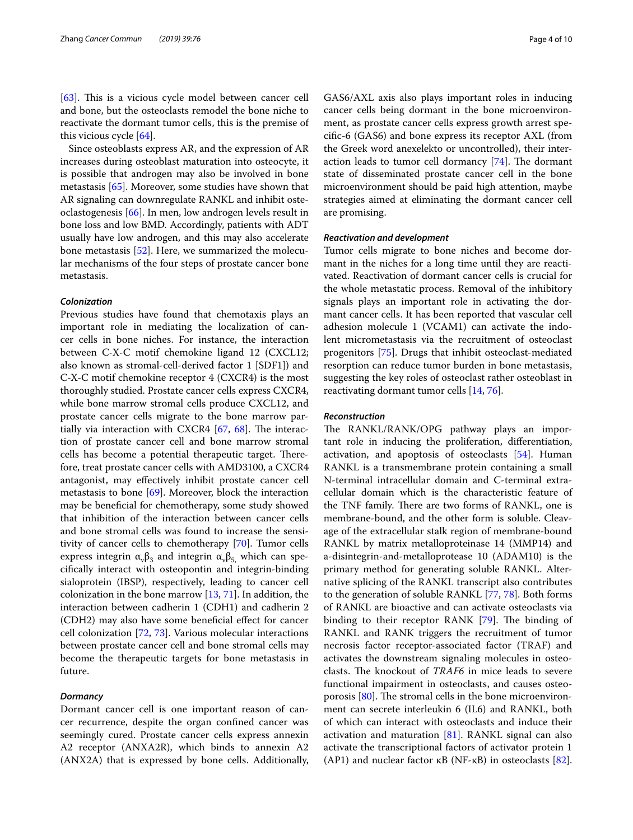[[63\]](#page-8-14). This is a vicious cycle model between cancer cell and bone, but the osteoclasts remodel the bone niche to reactivate the dormant tumor cells, this is the premise of this vicious cycle [\[64](#page-8-15)].

Since osteoblasts express AR, and the expression of AR increases during osteoblast maturation into osteocyte, it is possible that androgen may also be involved in bone metastasis [\[65](#page-8-16)]. Moreover, some studies have shown that AR signaling can downregulate RANKL and inhibit osteoclastogenesis [[66\]](#page-8-17). In men, low androgen levels result in bone loss and low BMD. Accordingly, patients with ADT usually have low androgen, and this may also accelerate bone metastasis [[52\]](#page-8-3). Here, we summarized the molecular mechanisms of the four steps of prostate cancer bone metastasis.

## *Colonization*

Previous studies have found that chemotaxis plays an important role in mediating the localization of cancer cells in bone niches. For instance, the interaction between C-X-C motif chemokine ligand 12 (CXCL12; also known as stromal-cell-derived factor 1 [SDF1]) and C-X-C motif chemokine receptor 4 (CXCR4) is the most thoroughly studied. Prostate cancer cells express CXCR4, while bone marrow stromal cells produce CXCL12, and prostate cancer cells migrate to the bone marrow partially via interaction with CXCR4  $[67, 68]$  $[67, 68]$  $[67, 68]$  $[67, 68]$  $[67, 68]$ . The interaction of prostate cancer cell and bone marrow stromal cells has become a potential therapeutic target. Therefore, treat prostate cancer cells with AMD3100, a CXCR4 antagonist, may efectively inhibit prostate cancer cell metastasis to bone [[69](#page-8-20)]. Moreover, block the interaction may be benefcial for chemotherapy, some study showed that inhibition of the interaction between cancer cells and bone stromal cells was found to increase the sensitivity of cancer cells to chemotherapy [\[70](#page-8-21)]. Tumor cells express integrin  $\alpha_{\nu}\beta_3$  and integrin  $\alpha_{\nu}\beta_5$  which can specifcally interact with osteopontin and integrin-binding sialoprotein (IBSP), respectively, leading to cancer cell colonization in the bone marrow [[13,](#page-7-8) [71](#page-8-22)]. In addition, the interaction between cadherin 1 (CDH1) and cadherin 2 (CDH2) may also have some benefcial efect for cancer cell colonization [\[72](#page-8-23), [73](#page-8-24)]. Various molecular interactions between prostate cancer cell and bone stromal cells may become the therapeutic targets for bone metastasis in future.

## *Dormancy*

Dormant cancer cell is one important reason of cancer recurrence, despite the organ confned cancer was seemingly cured. Prostate cancer cells express annexin A2 receptor (ANXA2R), which binds to annexin A2 (ANX2A) that is expressed by bone cells. Additionally, GAS6/AXL axis also plays important roles in inducing cancer cells being dormant in the bone microenvironment, as prostate cancer cells express growth arrest specifc-6 (GAS6) and bone express its receptor AXL (from the Greek word anexelekto or uncontrolled), their interaction leads to tumor cell dormancy  $[74]$ . The dormant state of disseminated prostate cancer cell in the bone microenvironment should be paid high attention, maybe strategies aimed at eliminating the dormant cancer cell are promising.

## *Reactivation and development*

Tumor cells migrate to bone niches and become dormant in the niches for a long time until they are reactivated. Reactivation of dormant cancer cells is crucial for the whole metastatic process. Removal of the inhibitory signals plays an important role in activating the dormant cancer cells. It has been reported that vascular cell adhesion molecule 1 (VCAM1) can activate the indolent micrometastasis via the recruitment of osteoclast progenitors [[75\]](#page-8-26). Drugs that inhibit osteoclast-mediated resorption can reduce tumor burden in bone metastasis, suggesting the key roles of osteoclast rather osteoblast in reactivating dormant tumor cells [\[14](#page-7-9), [76](#page-8-27)].

#### *Reconstruction*

The RANKL/RANK/OPG pathway plays an important role in inducing the proliferation, diferentiation, activation, and apoptosis of osteoclasts [[54](#page-8-5)]. Human RANKL is a transmembrane protein containing a small N-terminal intracellular domain and C-terminal extracellular domain which is the characteristic feature of the TNF family. There are two forms of RANKL, one is membrane-bound, and the other form is soluble. Cleavage of the extracellular stalk region of membrane-bound RANKL by matrix metalloproteinase 14 (MMP14) and a-disintegrin-and-metalloprotease 10 (ADAM10) is the primary method for generating soluble RANKL. Alternative splicing of the RANKL transcript also contributes to the generation of soluble RANKL [\[77](#page-8-28), [78](#page-8-29)]. Both forms of RANKL are bioactive and can activate osteoclasts via binding to their receptor RANK [[79\]](#page-8-30). The binding of RANKL and RANK triggers the recruitment of tumor necrosis factor receptor-associated factor (TRAF) and activates the downstream signaling molecules in osteoclasts. The knockout of *TRAF6* in mice leads to severe functional impairment in osteoclasts, and causes osteoporosis  $[80]$  $[80]$ . The stromal cells in the bone microenvironment can secrete interleukin 6 (IL6) and RANKL, both of which can interact with osteoclasts and induce their activation and maturation  $[81]$  $[81]$  $[81]$ . RANKL signal can also activate the transcriptional factors of activator protein 1 (AP1) and nuclear factor  $\kappa$ B (NF- $\kappa$ B) in osteoclasts [\[82](#page-8-33)].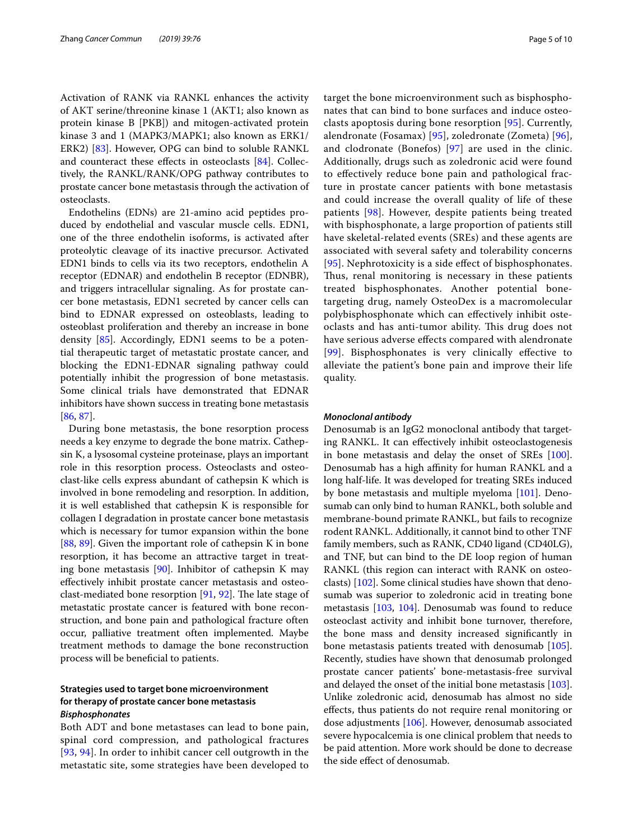Activation of RANK via RANKL enhances the activity of AKT serine/threonine kinase 1 (AKT1; also known as protein kinase B [PKB]) and mitogen-activated protein kinase 3 and 1 (MAPK3/MAPK1; also known as ERK1/ ERK2) [[83\]](#page-8-34). However, OPG can bind to soluble RANKL and counteract these efects in osteoclasts [\[84\]](#page-8-35). Collectively, the RANKL/RANK/OPG pathway contributes to prostate cancer bone metastasis through the activation of osteoclasts.

Endothelins (EDNs) are 21-amino acid peptides produced by endothelial and vascular muscle cells. EDN1, one of the three endothelin isoforms, is activated after proteolytic cleavage of its inactive precursor. Activated EDN1 binds to cells via its two receptors, endothelin A receptor (EDNAR) and endothelin B receptor (EDNBR), and triggers intracellular signaling. As for prostate cancer bone metastasis, EDN1 secreted by cancer cells can bind to EDNAR expressed on osteoblasts, leading to osteoblast proliferation and thereby an increase in bone density [[85](#page-8-36)]. Accordingly, EDN1 seems to be a potential therapeutic target of metastatic prostate cancer, and blocking the EDN1-EDNAR signaling pathway could potentially inhibit the progression of bone metastasis. Some clinical trials have demonstrated that EDNAR inhibitors have shown success in treating bone metastasis [[86,](#page-8-37) [87](#page-8-38)].

During bone metastasis, the bone resorption process needs a key enzyme to degrade the bone matrix. Cathepsin K, a lysosomal cysteine proteinase, plays an important role in this resorption process. Osteoclasts and osteoclast-like cells express abundant of cathepsin K which is involved in bone remodeling and resorption. In addition, it is well established that cathepsin K is responsible for collagen I degradation in prostate cancer bone metastasis which is necessary for tumor expansion within the bone [[88,](#page-8-39) [89](#page-8-40)]. Given the important role of cathepsin K in bone resorption, it has become an attractive target in treating bone metastasis  $[90]$  $[90]$  $[90]$ . Inhibitor of cathepsin K may efectively inhibit prostate cancer metastasis and osteoclast-mediated bone resorption  $[91, 92]$  $[91, 92]$  $[91, 92]$ . The late stage of metastatic prostate cancer is featured with bone reconstruction, and bone pain and pathological fracture often occur, palliative treatment often implemented. Maybe treatment methods to damage the bone reconstruction process will be benefcial to patients.

## **Strategies used to target bone microenvironment for therapy of prostate cancer bone metastasis** *Bisphosphonates*

Both ADT and bone metastases can lead to bone pain, spinal cord compression, and pathological fractures [[93](#page-8-44), [94](#page-8-45)]. In order to inhibit cancer cell outgrowth in the metastatic site, some strategies have been developed to target the bone microenvironment such as bisphosphonates that can bind to bone surfaces and induce osteoclasts apoptosis during bone resorption [[95\]](#page-8-46). Currently, alendronate (Fosamax) [[95\]](#page-8-46), zoledronate (Zometa) [[96](#page-8-47)], and clodronate (Bonefos) [[97](#page-9-0)] are used in the clinic. Additionally, drugs such as zoledronic acid were found to efectively reduce bone pain and pathological fracture in prostate cancer patients with bone metastasis and could increase the overall quality of life of these patients [[98\]](#page-9-1). However, despite patients being treated with bisphosphonate, a large proportion of patients still have skeletal-related events (SREs) and these agents are associated with several safety and tolerability concerns [[95](#page-8-46)]. Nephrotoxicity is a side efect of bisphosphonates. Thus, renal monitoring is necessary in these patients treated bisphosphonates. Another potential bonetargeting drug, namely OsteoDex is a macromolecular polybisphosphonate which can efectively inhibit osteoclasts and has anti-tumor ability. This drug does not have serious adverse efects compared with alendronate [[99](#page-9-2)]. Bisphosphonates is very clinically effective to alleviate the patient's bone pain and improve their life quality.

#### *Monoclonal antibody*

Denosumab is an IgG2 monoclonal antibody that targeting RANKL. It can efectively inhibit osteoclastogenesis in bone metastasis and delay the onset of SREs [\[100](#page-9-3)]. Denosumab has a high affinity for human RANKL and a long half-life. It was developed for treating SREs induced by bone metastasis and multiple myeloma [[101\]](#page-9-4). Denosumab can only bind to human RANKL, both soluble and membrane-bound primate RANKL, but fails to recognize rodent RANKL. Additionally, it cannot bind to other TNF family members, such as RANK, CD40 ligand (CD40LG), and TNF, but can bind to the DE loop region of human RANKL (this region can interact with RANK on osteoclasts) [[102\]](#page-9-5). Some clinical studies have shown that denosumab was superior to zoledronic acid in treating bone metastasis [\[103,](#page-9-6) [104\]](#page-9-7). Denosumab was found to reduce osteoclast activity and inhibit bone turnover, therefore, the bone mass and density increased signifcantly in bone metastasis patients treated with denosumab [\[105](#page-9-8)]. Recently, studies have shown that denosumab prolonged prostate cancer patients' bone-metastasis-free survival and delayed the onset of the initial bone metastasis [\[103](#page-9-6)]. Unlike zoledronic acid, denosumab has almost no side efects, thus patients do not require renal monitoring or dose adjustments [\[106\]](#page-9-9). However, denosumab associated severe hypocalcemia is one clinical problem that needs to be paid attention. More work should be done to decrease the side efect of denosumab.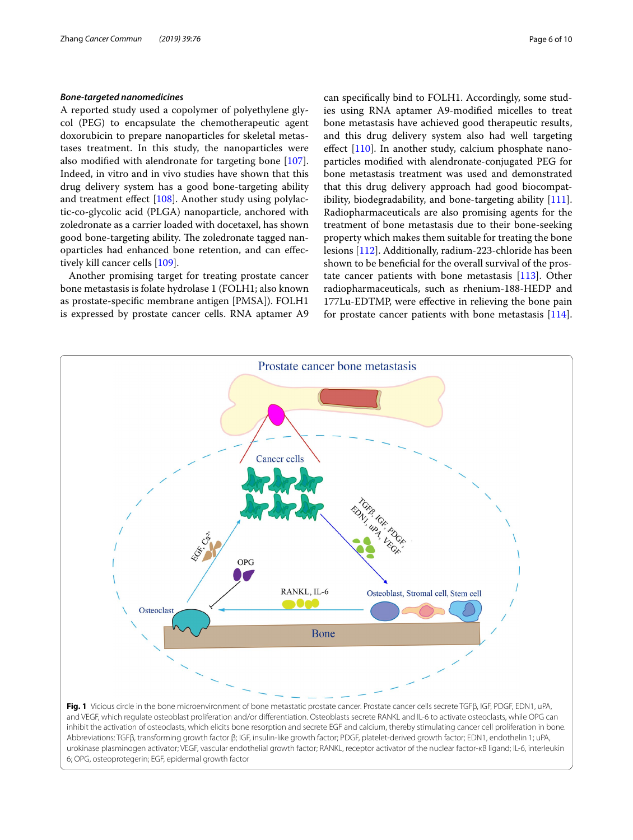#### *Bone‑targeted nanomedicines*

A reported study used a copolymer of polyethylene glycol (PEG) to encapsulate the chemotherapeutic agent doxorubicin to prepare nanoparticles for skeletal metastases treatment. In this study, the nanoparticles were also modifed with alendronate for targeting bone [\[107](#page-9-10)]. Indeed, in vitro and in vivo studies have shown that this drug delivery system has a good bone-targeting ability and treatment efect [\[108\]](#page-9-11). Another study using polylactic-co-glycolic acid (PLGA) nanoparticle, anchored with zoledronate as a carrier loaded with docetaxel, has shown good bone-targeting ability. The zoledronate tagged nanoparticles had enhanced bone retention, and can efectively kill cancer cells [\[109](#page-9-12)].

Another promising target for treating prostate cancer bone metastasis is folate hydrolase 1 (FOLH1; also known as prostate-specifc membrane antigen [PMSA]). FOLH1 is expressed by prostate cancer cells. RNA aptamer A9 can specifcally bind to FOLH1. Accordingly, some studies using RNA aptamer A9-modifed micelles to treat bone metastasis have achieved good therapeutic results, and this drug delivery system also had well targeting effect [[110\]](#page-9-13). In another study, calcium phosphate nanoparticles modifed with alendronate-conjugated PEG for bone metastasis treatment was used and demonstrated that this drug delivery approach had good biocompatibility, biodegradability, and bone-targeting ability [\[111](#page-9-14)]. Radiopharmaceuticals are also promising agents for the treatment of bone metastasis due to their bone-seeking property which makes them suitable for treating the bone lesions [\[112\]](#page-9-15). Additionally, radium-223-chloride has been shown to be benefcial for the overall survival of the prostate cancer patients with bone metastasis [[113](#page-9-16)]. Other radiopharmaceuticals, such as rhenium-188-HEDP and 177Lu-EDTMP, were efective in relieving the bone pain for prostate cancer patients with bone metastasis [\[114](#page-9-17)].

<span id="page-5-0"></span>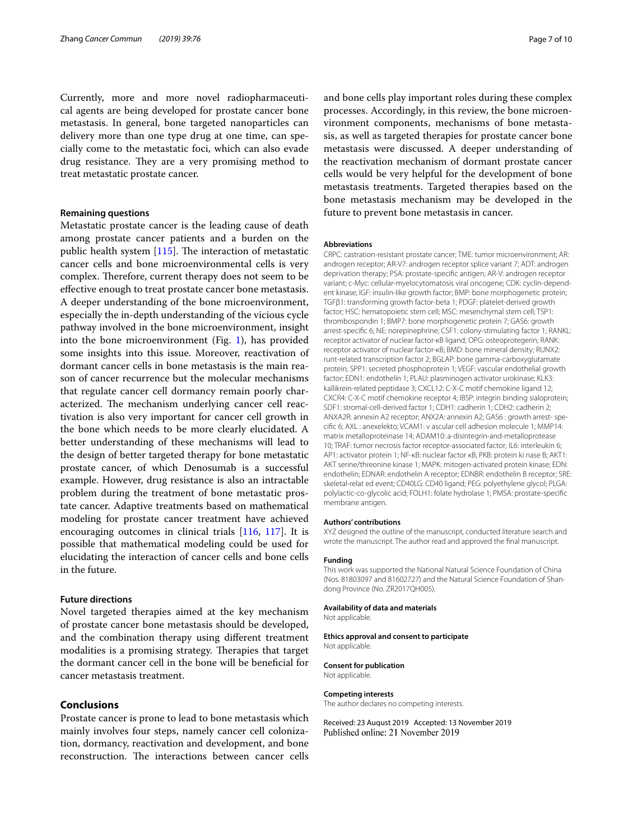Currently, more and more novel radiopharmaceutical agents are being developed for prostate cancer bone metastasis. In general, bone targeted nanoparticles can delivery more than one type drug at one time, can specially come to the metastatic foci, which can also evade drug resistance. They are a very promising method to treat metastatic prostate cancer.

## **Remaining questions**

Metastatic prostate cancer is the leading cause of death among prostate cancer patients and a burden on the public health system  $[115]$  $[115]$ . The interaction of metastatic cancer cells and bone microenvironmental cells is very complex. Therefore, current therapy does not seem to be efective enough to treat prostate cancer bone metastasis. A deeper understanding of the bone microenvironment, especially the in-depth understanding of the vicious cycle pathway involved in the bone microenvironment, insight into the bone microenvironment (Fig.  $1$ ), has provided some insights into this issue. Moreover, reactivation of dormant cancer cells in bone metastasis is the main reason of cancer recurrence but the molecular mechanisms that regulate cancer cell dormancy remain poorly characterized. The mechanism underlying cancer cell reactivation is also very important for cancer cell growth in the bone which needs to be more clearly elucidated. A better understanding of these mechanisms will lead to the design of better targeted therapy for bone metastatic prostate cancer, of which Denosumab is a successful example. However, drug resistance is also an intractable problem during the treatment of bone metastatic prostate cancer. Adaptive treatments based on mathematical modeling for prostate cancer treatment have achieved encouraging outcomes in clinical trials [\[116](#page-9-19), [117](#page-9-20)]. It is possible that mathematical modeling could be used for elucidating the interaction of cancer cells and bone cells in the future.

#### **Future directions**

Novel targeted therapies aimed at the key mechanism of prostate cancer bone metastasis should be developed, and the combination therapy using diferent treatment modalities is a promising strategy. Therapies that target the dormant cancer cell in the bone will be benefcial for cancer metastasis treatment.

## **Conclusions**

Prostate cancer is prone to lead to bone metastasis which mainly involves four steps, namely cancer cell colonization, dormancy, reactivation and development, and bone reconstruction. The interactions between cancer cells

and bone cells play important roles during these complex processes. Accordingly, in this review, the bone microenvironment components, mechanisms of bone metastasis, as well as targeted therapies for prostate cancer bone metastasis were discussed. A deeper understanding of the reactivation mechanism of dormant prostate cancer cells would be very helpful for the development of bone metastasis treatments. Targeted therapies based on the bone metastasis mechanism may be developed in the future to prevent bone metastasis in cancer.

#### **Abbreviations**

CRPC: castration-resistant prostate cancer; TME: tumor microenvironment; AR: androgen receptor; AR-V7: androgen receptor splice variant 7; ADT: androgen deprivation therapy; PSA: prostate-specifc antigen; AR-V: androgen receptor variant; c-Myc: cellular-myelocytomatosis viral oncogene; CDK: cyclin-dependent kinase; IGF: insulin-like growth factor; BMP: bone morphogenetic protein; TGFβ1: transforming growth factor-beta 1; PDGF: platelet-derived growth factor; HSC: hematopoietic stem cell; MSC: mesenchymal stem cell; TSP1: thrombospondin 1; BMP7: bone morphogenetic protein 7; GAS6: growth arrest-specifc 6; NE: norepinephrine; CSF1: colony-stimulating factor 1; RANKL: receptor activator of nuclear factor-κB ligand; OPG: osteoprotegerin; RANK: receptor activator of nuclear factor-κB; BMD: bone mineral density; RUNX2: runt-related transcription factor 2; BGLAP: bone gamma-carboxyglutamate protein; SPP1: secreted phosphoprotein 1; VEGF: vascular endothelial growth factor; EDN1: endothelin 1; PLAU: plasminogen activator urokinase; KLK3: kallikrein-related peptidase 3; CXCL12: C-X-C motif chemokine ligand 12; CXCR4: C-X-C motif chemokine receptor 4; IBSP: integrin binding sialoprotein; SDF1: stromal-cell-derived factor 1; CDH1: cadherin 1; CDH2: cadherin 2; ANXA2R: annexin A2 receptor; ANX2A: annexin A2; GAS6 : growth arrest- specifc 6; AXL : anexelekto; VCAM1: v ascular cell adhesion molecule 1; MMP14: matrix metalloproteinase 14; ADAM10: a-disintegrin-and-metalloprotease 10; TRAF: tumor necrosis factor receptor-associated factor; IL6: interleukin 6; AP1: activator protein 1; NF-κB: nuclear factor κB; PKB: protein ki nase B; AKT1: AKT serine/threonine kinase 1; MAPK: mitogen-activated protein kinase; EDN: endothelin; EDNAR: endothelin A receptor; EDNBR: endothelin B receptor; SRE: skeletal-relat ed event; CD40LG: CD40 ligand; PEG: polyethylene glycol; PLGA: polylactic-co-glycolic acid; FOLH1: folate hydrolase 1; PMSA: prostate-specifc membrane antigen.

#### **Authors' contributions**

XYZ designed the outline of the manuscript, conducted literature search and wrote the manuscript. The author read and approved the fnal manuscript.

#### **Funding**

This work was supported the National Natural Science Foundation of China (Nos. 81803097 and 81602727) and the Natural Science Foundation of Shandong Province (No. ZR2017QH005).

#### **Availability of data and materials**

Not applicable.

#### **Ethics approval and consent to participate** Not applicable.

**Consent for publication** Not applicable.

## **Competing interests**

The author declares no competing interests.

Received: 23 August 2019 Accepted: 13 November 2019Published online: 21 November 2019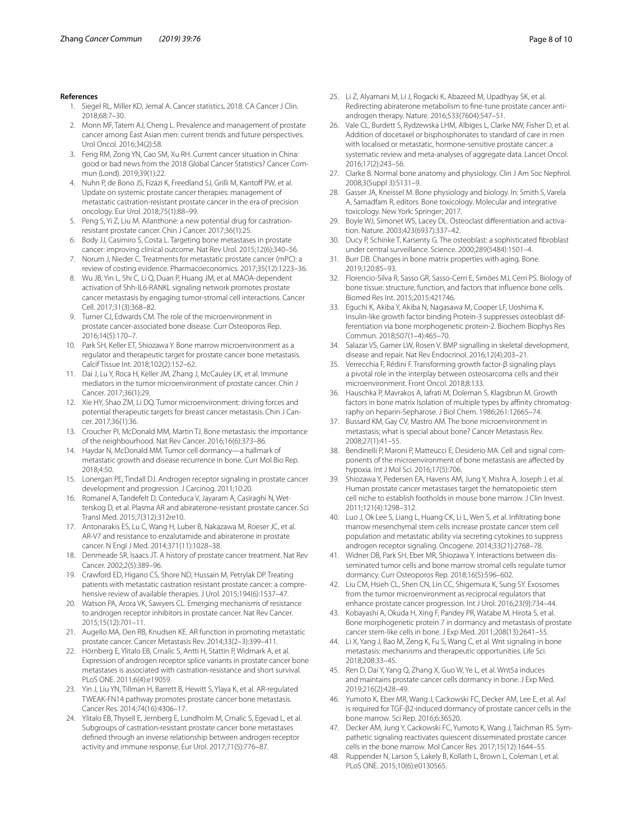#### <span id="page-7-0"></span>**References**

- 1. Siegel RL, Miller KD, Jemal A. Cancer statistics, 2018. CA Cancer J Clin. 2018;68:7–30.
- 2. Monn MF, Tatem AJ, Cheng L. Prevalence and management of prostate cancer among East Asian men: current trends and future perspectives. Urol Oncol. 2016;34(2):58.
- <span id="page-7-1"></span>3. Feng RM, Zong YN, Cao SM, Xu RH. Current cancer situation in China: good or bad news from the 2018 Global Cancer Statistics? Cancer Commun (Lond). 2019;39(1):22.
- <span id="page-7-2"></span>4. Nuhn P, de Bono JS, Fizazi K, Freedland SJ, Grilli M, Kantoff PW, et al. Update on systemic prostate cancer therapies: management of metastatic castration-resistant prostate cancer in the era of precision oncology. Eur Urol. 2018;75(1):88–99.
- <span id="page-7-3"></span>5. Peng S, Yi Z, Liu M. Ailanthone: a new potential drug for castrationresistant prostate cancer. Chin J Cancer. 2017;36(1):25.
- <span id="page-7-4"></span>6. Body JJ, Casimiro S, Costa L. Targeting bone metastases in prostate cancer: improving clinical outcome. Nat Rev Urol. 2015;12(6):340–56.
- <span id="page-7-5"></span>7. Norum J, Nieder C. Treatments for metastatic prostate cancer (mPC): a review of costing evidence. Pharmacoeconomics. 2017;35(12):1223–36.
- <span id="page-7-6"></span>8. Wu JB, Yin L, Shi C, Li Q, Duan P, Huang JM, et al. MAOA-dependent activation of Shh-IL6-RANKL signaling network promotes prostate cancer metastasis by engaging tumor-stromal cell interactions. Cancer Cell. 2017;31(3):368–82.
- 9. Turner CJ, Edwards CM. The role of the microenvironment in prostate cancer-associated bone disease. Curr Osteoporos Rep. 2016;14(5):170–7.
- 10. Park SH, Keller ET, Shiozawa Y. Bone marrow microenvironment as a regulator and therapeutic target for prostate cancer bone metastasis. Calcif Tissue Int. 2018;102(2):152–62.
- 11. Dai J, Lu Y, Roca H, Keller JM, Zhang J, McCauley LK, et al. Immune mediators in the tumor microenvironment of prostate cancer. Chin J Cancer. 2017;36(1):29.
- <span id="page-7-7"></span>12. Xie HY, Shao ZM, Li DQ. Tumor microenvironment: driving forces and potential therapeutic targets for breast cancer metastasis. Chin J Cancer. 2017;36(1):36.
- <span id="page-7-8"></span>13. Croucher PI, McDonald MM, Martin TJ. Bone metastasis: the importance of the neighbourhood. Nat Rev Cancer. 2016;16(6):373–86.
- <span id="page-7-9"></span>14. Haydar N, McDonald MM. Tumor cell dormancy—a hallmark of metastatic growth and disease recurrence in bone. Curr Mol Bio Rep. 2018;4:50.
- <span id="page-7-10"></span>15. Lonergan PE, Tindall DJ. Androgen receptor signaling in prostate cancer development and progression. J Carcinog. 2011;10:20.
- <span id="page-7-11"></span>16. Romanel A, Tandefelt D, Conteduca V, Jayaram A, Casiraghi N, Wetterskog D, et al. Plasma AR and abiraterone-resistant prostate cancer. Sci Transl Med. 2015;7(312):312re10.
- <span id="page-7-12"></span>17. Antonarakis ES, Lu C, Wang H, Luber B, Nakazawa M, Roeser JC, et al. AR-V7 and resistance to enzalutamide and abiraterone in prostate cancer. N Engl J Med. 2014;371(11):1028–38.
- <span id="page-7-13"></span>18. Denmeade SR, Isaacs JT. A history of prostate cancer treatment. Nat Rev Cancer. 2002;2(5):389–96.
- <span id="page-7-14"></span>19. Crawford ED, Higano CS, Shore ND, Hussain M, Petrylak DP. Treating patients with metastatic castration resistant prostate cancer: a comprehensive review of available therapies. J Urol. 2015;194(6):1537–47.
- <span id="page-7-15"></span>20. Watson PA, Arora VK, Sawyers CL. Emerging mechanisms of resistance to androgen receptor inhibitors in prostate cancer. Nat Rev Cancer. 2015;15(12):701–11.
- <span id="page-7-16"></span>21. Augello MA, Den RB, Knudsen KE. AR function in promoting metastatic prostate cancer. Cancer Metastasis Rev. 2014;33(2–3):399–411.
- <span id="page-7-17"></span>22. Hörnberg E, Ylitalo EB, Crnalic S, Antti H, Stattin P, Widmark A, et al. Expression of androgen receptor splice variants in prostate cancer bone metastases is associated with castration-resistance and short survival. PLoS ONE. 2011;6(4):e19059.
- <span id="page-7-18"></span>23. Yin J, Liu YN, Tillman H, Barrett B, Hewitt S, Ylaya K, et al. AR-regulated TWEAK-FN14 pathway promotes prostate cancer bone metastasis. Cancer Res. 2014;74(16):4306–17.
- <span id="page-7-19"></span>24. Ylitalo EB, Thysell E, Jernberg E, Lundholm M, Crnalic S, Egevad L, et al. Subgroups of castration-resistant prostate cancer bone metastases defned through an inverse relationship between androgen receptor activity and immune response. Eur Urol. 2017;71(5):776–87.
- <span id="page-7-20"></span>25. Li Z, Alyamani M, Li J, Rogacki K, Abazeed M, Upadhyay SK, et al. Redirecting abiraterone metabolism to fne-tune prostate cancer antiandrogen therapy. Nature. 2016;533(7604):547–51.
- <span id="page-7-21"></span>26. Vale CL, Burdett S, Rydzewska LHM, Albiges L, Clarke NW, Fisher D, et al. Addition of docetaxel or bisphosphonates to standard of care in men with localised or metastatic, hormone-sensitive prostate cancer: a systematic review and meta-analyses of aggregate data. Lancet Oncol. 2016;17(2):243–56.
- <span id="page-7-22"></span>27. Clarke B. Normal bone anatomy and physiology. Clin J Am Soc Nephrol. 2008;3(Suppl 3):S131–9.
- <span id="page-7-23"></span>28. Gasser JA, Kneissel M. Bone physiology and biology. In: Smith S, Varela A, Samadfam R, editors. Bone toxicology. Molecular and integrative toxicology. New York: Springer; 2017.
- <span id="page-7-24"></span>Boyle WJ, Simonet WS, Lacey DL. Osteoclast differentiation and activation. Nature. 2003;423(6937):337–42.
- <span id="page-7-25"></span>Ducy P, Schinke T, Karsenty G. The osteoblast: a sophisticated fibroblast under central surveillance. Science. 2000;289(5484):1501–4.
- <span id="page-7-26"></span>31. Burr DB. Changes in bone matrix properties with aging. Bone. 2019;120:85–93.
- <span id="page-7-27"></span>32. Florencio-Silva R, Sasso GR, Sasso-Cerri E, Simões MJ, Cerri PS. Biology of bone tissue: structure, function, and factors that infuence bone cells. Biomed Res Int. 2015;2015:421746.
- 33. Eguchi K, Akiba Y, Akiba N, Nagasawa M, Cooper LF, Uoshima K. Insulin-like growth factor binding Protein-3 suppresses osteoblast differentiation via bone morphogenetic protein-2. Biochem Biophys Res Commun. 2018;507(1–4):465–70.
- 34. Salazar VS, Gamer LW, Rosen V. BMP signalling in skeletal development, disease and repair. Nat Rev Endocrinol. 2016;12(4):203–21.
- 35. Verrecchia F, Rédini F. Transforming growth factor-β signaling plays a pivotal role in the interplay between osteosarcoma cells and their microenvironment. Front Oncol. 2018;8:133.
- <span id="page-7-28"></span>36. Hauschka P, Mavrakos A, Iafrati M, Doleman S, Klagsbrun M. Growth factors in bone matrix Isolation of multiple types by affinity chromatography on heparin-Sepharose. J Biol Chem. 1986;261:12665–74.
- <span id="page-7-29"></span>37. Bussard KM, Gay CV, Mastro AM. The bone microenvironment in metastasis; what is special about bone? Cancer Metastasis Rev. 2008;27(1):41–55.
- <span id="page-7-30"></span>38. Bendinelli P, Maroni P, Matteucci E, Desiderio MA. Cell and signal components of the microenvironment of bone metastasis are afected by hypoxia. Int J Mol Sci. 2016;17(5):706.
- <span id="page-7-31"></span>39. Shiozawa Y, Pedersen EA, Havens AM, Jung Y, Mishra A, Joseph J, et al. Human prostate cancer metastases target the hematopoietic stem cell niche to establish footholds in mouse bone marrow. J Clin Invest. 2011;121(4):1298–312.
- <span id="page-7-32"></span>40. Luo J, Ok Lee S, Liang L, Huang CK, Li L, Wen S, et al. Infltrating bone marrow mesenchymal stem cells increase prostate cancer stem cell population and metastatic ability via secreting cytokines to suppress androgen receptor signaling. Oncogene. 2014;33(21):2768–78.
- <span id="page-7-33"></span>41. Widner DB, Park SH, Eber MR, Shiozawa Y. Interactions between disseminated tumor cells and bone marrow stromal cells regulate tumor dormancy. Curr Osteoporos Rep. 2018;16(5):596–602.
- <span id="page-7-34"></span>42. Liu CM, Hsieh CL, Shen CN, Lin CC, Shigemura K, Sung SY. Exosomes from the tumor microenvironment as reciprocal regulators that enhance prostate cancer progression. Int J Urol. 2016;23(9):734–44.
- <span id="page-7-35"></span>43. Kobayashi A, Okuda H, Xing F, Pandey PR, Watabe M, Hirota S, et al. Bone morphogenetic protein 7 in dormancy and metastasis of prostate cancer stem-like cells in bone. J Exp Med. 2011;208(13):2641–55.
- <span id="page-7-36"></span>44. Li X, Yang J, Bao M, Zeng K, Fu S, Wang C, et al. Wnt signaling in bone metastasis: mechanisms and therapeutic opportunities. Life Sci. 2018;208:33–45.
- <span id="page-7-37"></span>45. Ren D, Dai Y, Yang Q, Zhang X, Guo W, Ye L, et al. Wnt5a induces and maintains prostate cancer cells dormancy in bone. J Exp Med. 2019;216(2):428–49.
- <span id="page-7-38"></span>46. Yumoto K, Eber MR, Wang J, Cackowski FC, Decker AM, Lee E, et al. Axl is required for TGF-β2-induced dormancy of prostate cancer cells in the bone marrow. Sci Rep. 2016;6:36520.
- <span id="page-7-39"></span>47. Decker AM, Jung Y, Cackowski FC, Yumoto K, Wang J, Taichman RS. Sympathetic signaling reactivates quiescent disseminated prostate cancer cells in the bone marrow. Mol Cancer Res. 2017;15(12):1644–55.
- <span id="page-7-40"></span>Ruppender N, Larson S, Lakely B, Kollath L, Brown L, Coleman I, et al. PLoS ONE. 2015;10(6):e0130565.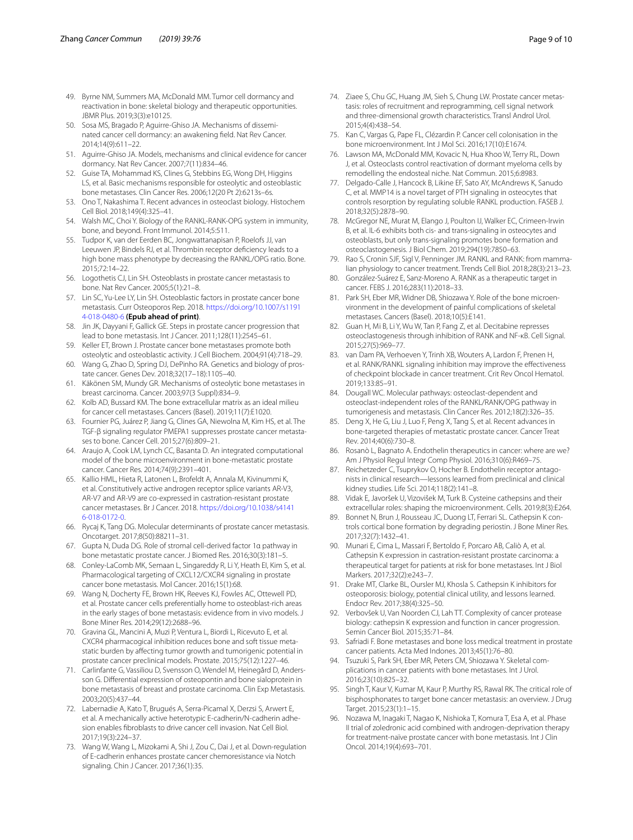- <span id="page-8-0"></span>49. Byrne NM, Summers MA, McDonald MM. Tumor cell dormancy and reactivation in bone: skeletal biology and therapeutic opportunities. JBMR Plus. 2019;3(3):e10125.
- <span id="page-8-1"></span>50. Sosa MS, Bragado P, Aguirre-Ghiso JA. Mechanisms of disseminated cancer cell dormancy: an awakening feld. Nat Rev Cancer. 2014;14(9):611–22.
- <span id="page-8-2"></span>51. Aguirre-Ghiso JA. Models, mechanisms and clinical evidence for cancer dormancy. Nat Rev Cancer. 2007;7(11):834–46.
- <span id="page-8-3"></span>52. Guise TA, Mohammad KS, Clines G, Stebbins EG, Wong DH, Higgins LS, et al. Basic mechanisms responsible for osteolytic and osteoblastic bone metastases. Clin Cancer Res. 2006;12(20 Pt 2):6213s–6s.
- <span id="page-8-4"></span>53. Ono T, Nakashima T. Recent advances in osteoclast biology. Histochem Cell Biol. 2018;149(4):325–41.
- <span id="page-8-5"></span>54. Walsh MC, Choi Y. Biology of the RANKL-RANK-OPG system in immunity, bone, and beyond. Front Immunol. 2014;5:511.
- <span id="page-8-6"></span>55. Tudpor K, van der Eerden BC, Jongwattanapisan P, Roelofs JJ, van Leeuwen JP, Bindels RJ, et al. Thrombin receptor defciency leads to a high bone mass phenotype by decreasing the RANKL/OPG ratio. Bone. 2015;72:14–22.
- <span id="page-8-7"></span>56. Logothetis CJ, Lin SH. Osteoblasts in prostate cancer metastasis to bone. Nat Rev Cancer. 2005;5(1):21–8.
- <span id="page-8-8"></span>57. Lin SC, Yu-Lee LY, Lin SH. Osteoblastic factors in prostate cancer bone metastasis. Curr Osteoporos Rep. 2018. [https://doi.org/10.1007/s1191](https://doi.org/10.1007/s11914-018-0480-6) [4-018-0480-6](https://doi.org/10.1007/s11914-018-0480-6) **(Epub ahead of print)**.
- <span id="page-8-9"></span>58. Jin JK, Dayyani F, Gallick GE. Steps in prostate cancer progression that lead to bone metastasis. Int J Cancer. 2011;128(11):2545–61.
- <span id="page-8-10"></span>59. Keller ET, Brown J. Prostate cancer bone metastases promote both osteolytic and osteoblastic activity. J Cell Biochem. 2004;91(4):718–29.
- <span id="page-8-11"></span>60. Wang G, Zhao D, Spring DJ, DePinho RA. Genetics and biology of prostate cancer. Genes Dev. 2018;32(17–18):1105–40.
- <span id="page-8-12"></span>61. Käkönen SM, Mundy GR. Mechanisms of osteolytic bone metastases in breast carcinoma. Cancer. 2003;97(3 Suppl):834–9.
- <span id="page-8-13"></span>62. Kolb AD, Bussard KM. The bone extracellular matrix as an ideal milieu for cancer cell metastases. Cancers (Basel). 2019;11(7):E1020.
- <span id="page-8-14"></span>63. Fournier PG, Juárez P, Jiang G, Clines GA, Niewolna M, Kim HS, et al. The TGF-β signaling regulator PMEPA1 suppresses prostate cancer metastases to bone. Cancer Cell. 2015;27(6):809–21.
- <span id="page-8-15"></span>64. Araujo A, Cook LM, Lynch CC, Basanta D. An integrated computational model of the bone microenvironment in bone-metastatic prostate cancer. Cancer Res. 2014;74(9):2391–401.
- <span id="page-8-16"></span>65. Kallio HML, Hieta R, Latonen L, Brofeldt A, Annala M, Kivinummi K, et al. Constitutively active androgen receptor splice variants AR-V3, AR-V7 and AR-V9 are co-expressed in castration-resistant prostate cancer metastases. Br J Cancer. 2018. [https://doi.org/10.1038/s4141](https://doi.org/10.1038/s41416-018-0172-0) [6-018-0172-0.](https://doi.org/10.1038/s41416-018-0172-0)
- <span id="page-8-17"></span>66. Rycaj K, Tang DG. Molecular determinants of prostate cancer metastasis. Oncotarget. 2017;8(50):88211–31.
- <span id="page-8-18"></span>67. Gupta N, Duda DG. Role of stromal cell-derived factor 1α pathway in bone metastatic prostate cancer. J Biomed Res. 2016;30(3):181–5.
- <span id="page-8-19"></span>68. Conley-LaComb MK, Semaan L, Singareddy R, Li Y, Heath EI, Kim S, et al. Pharmacological targeting of CXCL12/CXCR4 signaling in prostate cancer bone metastasis. Mol Cancer. 2016;15(1):68.
- <span id="page-8-20"></span>69. Wang N, Docherty FE, Brown HK, Reeves KJ, Fowles AC, Ottewell PD, et al. Prostate cancer cells preferentially home to osteoblast-rich areas in the early stages of bone metastasis: evidence from in vivo models. J Bone Miner Res. 2014;29(12):2688–96.
- <span id="page-8-21"></span>70. Gravina GL, Mancini A, Muzi P, Ventura L, Biordi L, Ricevuto E, et al. CXCR4 pharmacogical inhibition reduces bone and soft tissue metastatic burden by afecting tumor growth and tumorigenic potential in prostate cancer preclinical models. Prostate. 2015;75(12):1227–46.
- <span id="page-8-22"></span>71. Carlinfante G, Vassiliou D, Svensson O, Wendel M, Heinegård D, Andersson G. Diferential expression of osteopontin and bone sialoprotein in bone metastasis of breast and prostate carcinoma. Clin Exp Metastasis. 2003;20(5):437–44.
- <span id="page-8-23"></span>72. Labernadie A, Kato T, Brugués A, Serra-Picamal X, Derzsi S, Arwert E, et al. A mechanically active heterotypic E-cadherin/N-cadherin adhesion enables fbroblasts to drive cancer cell invasion. Nat Cell Biol. 2017;19(3):224–37.
- <span id="page-8-24"></span>73. Wang W, Wang L, Mizokami A, Shi J, Zou C, Dai J, et al. Down-regulation of E-cadherin enhances prostate cancer chemoresistance via Notch signaling. Chin J Cancer. 2017;36(1):35.
- <span id="page-8-25"></span>74. Ziaee S, Chu GC, Huang JM, Sieh S, Chung LW. Prostate cancer metastasis: roles of recruitment and reprogramming, cell signal network and three-dimensional growth characteristics. Transl Androl Urol. 2015;4(4):438–54.
- <span id="page-8-26"></span>75. Kan C, Vargas G, Pape FL, Clézardin P. Cancer cell colonisation in the bone microenvironment. Int J Mol Sci. 2016;17(10):E1674.
- <span id="page-8-27"></span>76. Lawson MA, McDonald MM, Kovacic N, Hua Khoo W, Terry RL, Down J, et al. Osteoclasts control reactivation of dormant myeloma cells by remodelling the endosteal niche. Nat Commun. 2015;6:8983.
- <span id="page-8-28"></span>77. Delgado-Calle J, Hancock B, Likine EF, Sato AY, McAndrews K, Sanudo C, et al. MMP14 is a novel target of PTH signaling in osteocytes that controls resorption by regulating soluble RANKL production. FASEB J. 2018;32(5):2878–90.
- <span id="page-8-29"></span>78. McGregor NE, Murat M, Elango J, Poulton IJ, Walker EC, Crimeen-Irwin B, et al. IL-6 exhibits both cis- and trans-signaling in osteocytes and osteoblasts, but only trans-signaling promotes bone formation and osteoclastogenesis. J Biol Chem. 2019;294(19):7850–63.
- <span id="page-8-30"></span>79. Rao S, Cronin SJF, Sigl V, Penninger JM. RANKL and RANK: from mammalian physiology to cancer treatment. Trends Cell Biol. 2018;28(3):213–23.
- <span id="page-8-31"></span>80. González-Suárez E, Sanz-Moreno A. RANK as a therapeutic target in cancer. FEBS J. 2016;283(11):2018–33.
- <span id="page-8-32"></span>81. Park SH, Eber MR, Widner DB, Shiozawa Y. Role of the bone microenvironment in the development of painful complications of skeletal metastases. Cancers (Basel). 2018;10(5):E141.
- <span id="page-8-33"></span>82. Guan H, Mi B, Li Y, Wu W, Tan P, Fang Z, et al. Decitabine represses osteoclastogenesis through inhibition of RANK and NF-κB. Cell Signal. 2015;27(5):969–77.
- <span id="page-8-34"></span>83. van Dam PA, Verhoeven Y, Trinh XB, Wouters A, Lardon F, Prenen H, et al. RANK/RANKL signaling inhibition may improve the efectiveness of checkpoint blockade in cancer treatment. Crit Rev Oncol Hematol. 2019;133:85–91.
- <span id="page-8-35"></span>84. Dougall WC. Molecular pathways: osteoclast-dependent and osteoclast-independent roles of the RANKL/RANK/OPG pathway in tumorigenesis and metastasis. Clin Cancer Res. 2012;18(2):326–35.
- <span id="page-8-36"></span>85. Deng X, He G, Liu J, Luo F, Peng X, Tang S, et al. Recent advances in bone-targeted therapies of metastatic prostate cancer. Cancer Treat Rev. 2014;40(6):730–8.
- <span id="page-8-37"></span>86. Rosanò L, Bagnato A. Endothelin therapeutics in cancer: where are we? Am J Physiol Regul Integr Comp Physiol. 2016;310(6):R469–75.
- <span id="page-8-38"></span>87. Reichetzeder C, Tsuprykov O, Hocher B. Endothelin receptor antagonists in clinical research—lessons learned from preclinical and clinical kidney studies. Life Sci. 2014;118(2):141–8.
- <span id="page-8-39"></span>Vidak E, Javoršek U, Vizovišek M, Turk B. Cysteine cathepsins and their extracellular roles: shaping the microenvironment. Cells. 2019;8(3):E264.
- <span id="page-8-40"></span>89. Bonnet N, Brun J, Rousseau JC, Duong LT, Ferrari SL. Cathepsin K controls cortical bone formation by degrading periostin. J Bone Miner Res. 2017;32(7):1432–41.
- <span id="page-8-41"></span>90. Munari E, Cima L, Massari F, Bertoldo F, Porcaro AB, Caliò A, et al. Cathepsin K expression in castration-resistant prostate carcinoma: a therapeutical target for patients at risk for bone metastases. Int J Biol Markers. 2017;32(2):e243–7.
- <span id="page-8-42"></span>91. Drake MT, Clarke BL, Oursler MJ, Khosla S. Cathepsin K inhibitors for osteoporosis: biology, potential clinical utility, and lessons learned. Endocr Rev. 2017;38(4):325–50.
- <span id="page-8-43"></span>92. Verbovšek U, Van Noorden CJ, Lah TT. Complexity of cancer protease biology: cathepsin K expression and function in cancer progression. Semin Cancer Biol. 2015;35:71–84.
- <span id="page-8-44"></span>93. Safriadi F. Bone metastases and bone loss medical treatment in prostate cancer patients. Acta Med Indones. 2013;45(1):76–80.
- <span id="page-8-45"></span>94. Tsuzuki S, Park SH, Eber MR, Peters CM, Shiozawa Y. Skeletal complications in cancer patients with bone metastases. Int J Urol. 2016;23(10):825–32.
- <span id="page-8-46"></span>95. Singh T, Kaur V, Kumar M, Kaur P, Murthy RS, Rawal RK. The critical role of bisphosphonates to target bone cancer metastasis: an overview. J Drug Target. 2015;23(1):1–15.
- <span id="page-8-47"></span>96. Nozawa M, Inagaki T, Nagao K, Nishioka T, Komura T, Esa A, et al. Phase II trial of zoledronic acid combined with androgen-deprivation therapy for treatment-naïve prostate cancer with bone metastasis. Int J Clin Oncol. 2014;19(4):693–701.